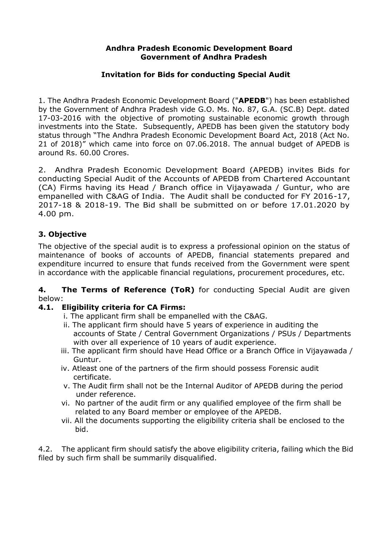#### **Andhra Pradesh Economic Development Board Government of Andhra Pradesh**

# **Invitation for Bids for conducting Special Audit**

1. The Andhra Pradesh Economic Development Board ("**APEDB**") has been established by the Government of Andhra Pradesh vide G.O. Ms. No. 87, G.A. (SC.B) Dept. dated 17-03-2016 with the objective of promoting sustainable economic growth through investments into the State. Subsequently, APEDB has been given the statutory body status through "The Andhra Pradesh Economic Development Board Act, 2018 (Act No. 21 of 2018)" which came into force on 07.06.2018. The annual budget of APEDB is around Rs. 60.00 Crores.

2. Andhra Pradesh Economic Development Board (APEDB) invites Bids for conducting Special Audit of the Accounts of APEDB from Chartered Accountant (CA) Firms having its Head / Branch office in Vijayawada / Guntur, who are empanelled with C&AG of India. The Audit shall be conducted for FY 2016-17, 2017-18 & 2018-19. The Bid shall be submitted on or before 17.01.2020 by 4.00 pm.

# **3. Objective**

The objective of the special audit is to express a professional opinion on the status of maintenance of books of accounts of APEDB, financial statements prepared and expenditure incurred to ensure that funds received from the Government were spent in accordance with the applicable financial regulations, procurement procedures, etc.

#### **4. The Terms of Reference (ToR)** for conducting Special Audit are given below:

### **4.1. Eligibility criteria for CA Firms:**

- i. The applicant firm shall be empanelled with the C&AG.
- ii. The applicant firm should have 5 years of experience in auditing the accounts of State / Central Government Organizations / PSUs / Departments with over all experience of 10 years of audit experience.
- iii. The applicant firm should have Head Office or a Branch Office in Vijayawada / Guntur.
- iv. Atleast one of the partners of the firm should possess Forensic audit certificate.
- v. The Audit firm shall not be the Internal Auditor of APEDB during the period under reference.
- vi. No partner of the audit firm or any qualified employee of the firm shall be related to any Board member or employee of the APEDB.
- vii. All the documents supporting the eligibility criteria shall be enclosed to the bid.

4.2. The applicant firm should satisfy the above eligibility criteria, failing which the Bid filed by such firm shall be summarily disqualified.